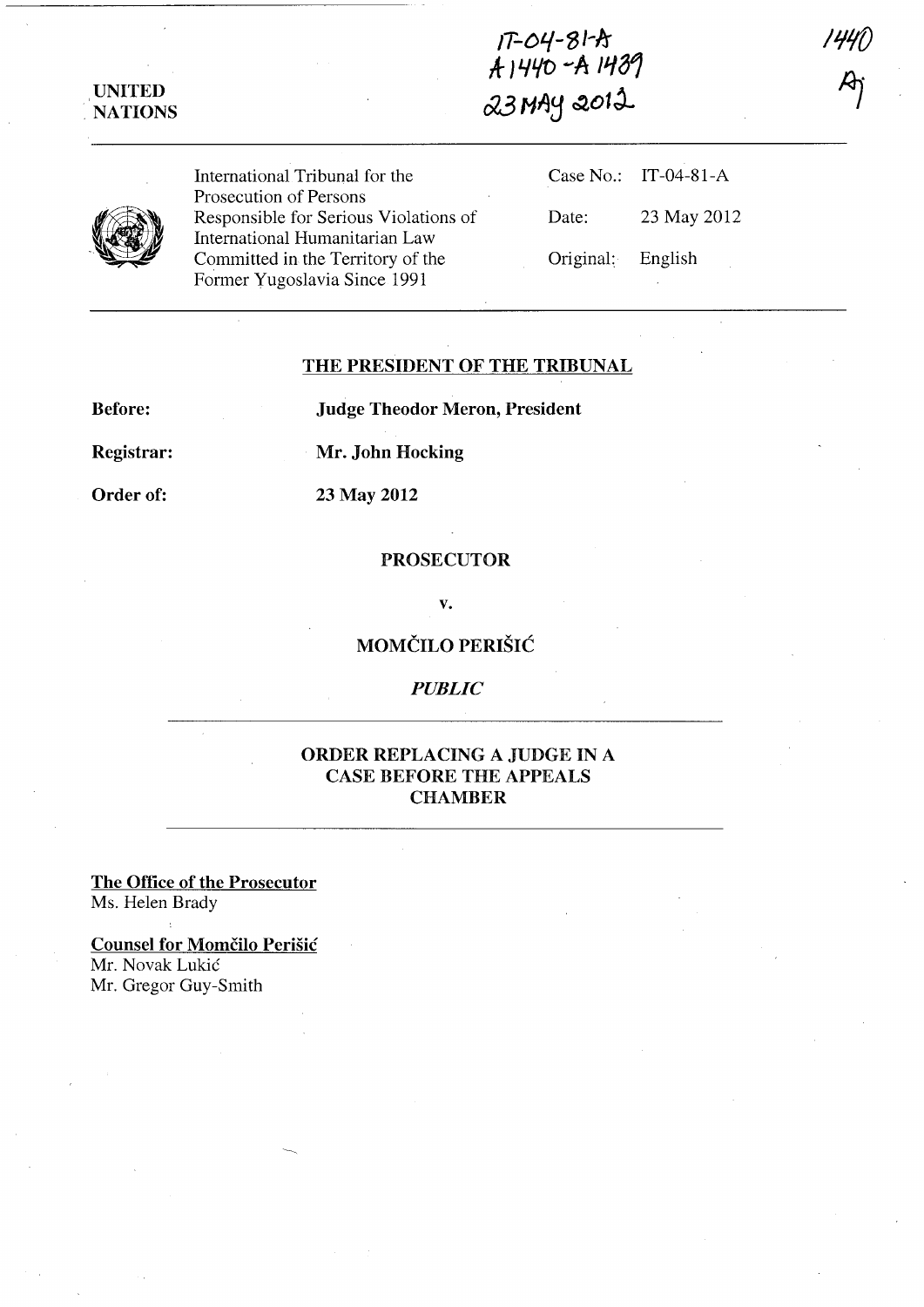IT-Dt.{-S/-ir if- *]* 4£fO -A */lj81*   $\alpha$ 3 Myy  $\alpha$  $\alpha$ 

,UNITED . NATIONS

International Tribunal for the Prosecution of Persons Responsible for Serious Violations of International Humanitarian Law Committed in the Territory of the Former Yugoslavia Since 1991

|       | Case No.: IT-04-81-A |
|-------|----------------------|
| Date: | 23 May 2012          |
|       | Original: English    |

## THE PRESIDENT OF THE TRIBUNAL

Before:

Judge Theodor Meron, President

Registrar:

Mr. John Hocking

Order of:

23 May 2012

## PROSECUTOR

v.

MOMČILO PERIŠIĆ

*PUBLIC* 

## ORDER REPLACING A JUDGE IN A CASE BEFORE THE APPEALS **CHAMBER**

The Office of the Prosecutor Ms. Helen Brady

Counsel for Momčilo Perišić Mr. Novak Lukic Mr. Gregor Guy-Smith